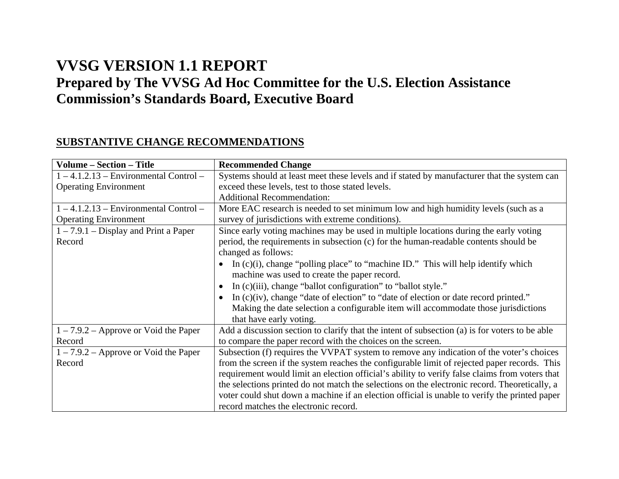## **VVSG VERSION 1.1 REPORT Prepared by The VVSG Ad Hoc Committee for the U.S. Election Assistance Commission's Standards Board, Executive Board**

## **SUBSTANTIVE CHANGE RECOMMENDATIONS**

| <b>Volume – Section – Title</b>          | <b>Recommended Change</b>                                                                           |  |  |
|------------------------------------------|-----------------------------------------------------------------------------------------------------|--|--|
| $1 - 4.1.2.13$ – Environmental Control – | Systems should at least meet these levels and if stated by manufacturer that the system can         |  |  |
| <b>Operating Environment</b>             | exceed these levels, test to those stated levels.                                                   |  |  |
|                                          | <b>Additional Recommendation:</b>                                                                   |  |  |
| $1 - 4.1.2.13$ – Environmental Control – | More EAC research is needed to set minimum low and high humidity levels (such as a                  |  |  |
| <b>Operating Environment</b>             | survey of jurisdictions with extreme conditions).                                                   |  |  |
| $1 - 7.9.1 - Display$ and Print a Paper  | Since early voting machines may be used in multiple locations during the early voting               |  |  |
| Record                                   | period, the requirements in subsection (c) for the human-readable contents should be                |  |  |
|                                          | changed as follows:                                                                                 |  |  |
|                                          | In $(c)(i)$ , change "polling place" to "machine ID." This will help identify which                 |  |  |
|                                          | machine was used to create the paper record.                                                        |  |  |
|                                          | In (c)(iii), change "ballot configuration" to "ballot style."<br>$\bullet$                          |  |  |
|                                          | In $(c)(iv)$ , change "date of election" to "date of election or date record printed."<br>$\bullet$ |  |  |
|                                          | Making the date selection a configurable item will accommodate those jurisdictions                  |  |  |
|                                          | that have early voting.                                                                             |  |  |
| $1 - 7.9.2$ – Approve or Void the Paper  | Add a discussion section to clarify that the intent of subsection (a) is for voters to be able      |  |  |
| Record                                   | to compare the paper record with the choices on the screen.                                         |  |  |
| $1 - 7.9.2$ – Approve or Void the Paper  | Subsection (f) requires the VVPAT system to remove any indication of the voter's choices            |  |  |
| Record                                   | from the screen if the system reaches the configurable limit of rejected paper records. This        |  |  |
|                                          | requirement would limit an election official's ability to verify false claims from voters that      |  |  |
|                                          | the selections printed do not match the selections on the electronic record. Theoretically, a       |  |  |
|                                          | voter could shut down a machine if an election official is unable to verify the printed paper       |  |  |
|                                          | record matches the electronic record.                                                               |  |  |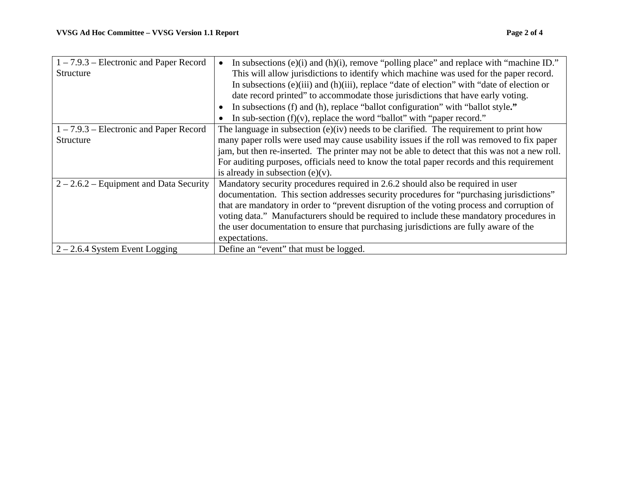| $1 - 7.9.3$ – Electronic and Paper Record<br>Structure | In subsections (e)(i) and (h)(i), remove "polling place" and replace with "machine ID."<br>This will allow jurisdictions to identify which machine was used for the paper record.<br>In subsections (e)(iii) and (h)(iii), replace "date of election" with "date of election or<br>date record printed" to accommodate those jurisdictions that have early voting.<br>In subsections (f) and (h), replace "ballot configuration" with "ballot style."<br>$\bullet$<br>In sub-section $(f)(v)$ , replace the word "ballot" with "paper record." |
|--------------------------------------------------------|------------------------------------------------------------------------------------------------------------------------------------------------------------------------------------------------------------------------------------------------------------------------------------------------------------------------------------------------------------------------------------------------------------------------------------------------------------------------------------------------------------------------------------------------|
| $1 - 7.9.3$ – Electronic and Paper Record<br>Structure | The language in subsection $(e)(iv)$ needs to be clarified. The requirement to print how<br>many paper rolls were used may cause usability issues if the roll was removed to fix paper<br>jam, but then re-inserted. The printer may not be able to detect that this was not a new roll.<br>For auditing purposes, officials need to know the total paper records and this requirement<br>is already in subsection $(e)(v)$ .                                                                                                                  |
| $2 - 2.6.2$ – Equipment and Data Security              | Mandatory security procedures required in 2.6.2 should also be required in user<br>documentation. This section addresses security procedures for "purchasing jurisdictions"<br>that are mandatory in order to "prevent disruption of the voting process and corruption of<br>voting data." Manufacturers should be required to include these mandatory procedures in<br>the user documentation to ensure that purchasing jurisdictions are fully aware of the<br>expectations.                                                                 |
| $2 - 2.6.4$ System Event Logging                       | Define an "event" that must be logged.                                                                                                                                                                                                                                                                                                                                                                                                                                                                                                         |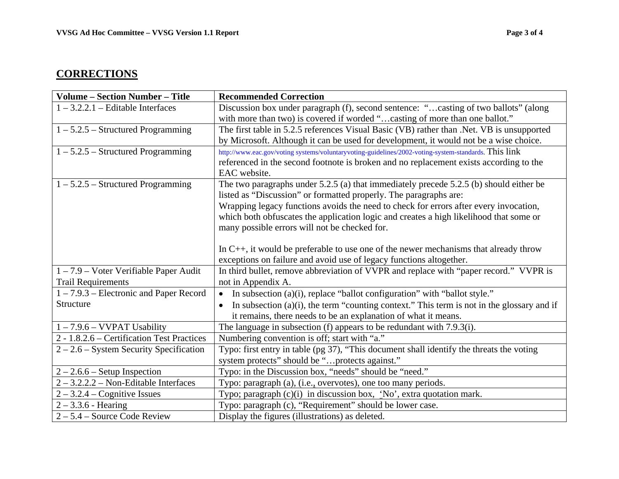## **CORRECTIONS**

| <b>Volume - Section Number - Title</b>     | <b>Recommended Correction</b>                                                                              |  |  |
|--------------------------------------------|------------------------------------------------------------------------------------------------------------|--|--|
| $1 - 3.2.2.1$ – Editable Interfaces        | Discussion box under paragraph (f), second sentence: "casting of two ballots" (along                       |  |  |
|                                            | with more than two) is covered if worded "casting of more than one ballot."                                |  |  |
| $1 - 5.2.5$ – Structured Programming       | The first table in 5.2.5 references Visual Basic (VB) rather than .Net. VB is unsupported                  |  |  |
|                                            | by Microsoft. Although it can be used for development, it would not be a wise choice.                      |  |  |
| $1 - 5.2.5$ – Structured Programming       | http://www.eac.gov/voting systems/voluntaryvoting-guidelines/2002-voting-system-standards. This link       |  |  |
|                                            | referenced in the second footnote is broken and no replacement exists according to the                     |  |  |
|                                            | EAC website.                                                                                               |  |  |
| $1 - 5.2.5$ – Structured Programming       | The two paragraphs under $5.2.5$ (a) that immediately precede $5.2.5$ (b) should either be                 |  |  |
|                                            | listed as "Discussion" or formatted properly. The paragraphs are:                                          |  |  |
|                                            | Wrapping legacy functions avoids the need to check for errors after every invocation,                      |  |  |
|                                            | which both obfuscates the application logic and creates a high likelihood that some or                     |  |  |
|                                            | many possible errors will not be checked for.                                                              |  |  |
|                                            |                                                                                                            |  |  |
|                                            | In $C_{++}$ , it would be preferable to use one of the newer mechanisms that already throw                 |  |  |
|                                            | exceptions on failure and avoid use of legacy functions altogether.                                        |  |  |
| 1-7.9 - Voter Verifiable Paper Audit       | In third bullet, remove abbreviation of VVPR and replace with "paper record." VVPR is                      |  |  |
| <b>Trail Requirements</b>                  | not in Appendix A.                                                                                         |  |  |
| $1 - 7.9.3$ – Electronic and Paper Record  | In subsection (a)(i), replace "ballot configuration" with "ballot style."<br>$\bullet$                     |  |  |
| Structure                                  | In subsection $(a)(i)$ , the term "counting context." This term is not in the glossary and if<br>$\bullet$ |  |  |
|                                            | it remains, there needs to be an explanation of what it means.                                             |  |  |
| $1 - 7.9.6 - VVPAT$ Usability              | The language in subsection (f) appears to be redundant with 7.9.3(i).                                      |  |  |
| 2 - 1.8.2.6 – Certification Test Practices | Numbering convention is off; start with "a."                                                               |  |  |
| $2 - 2.6$ – System Security Specification  | Typo: first entry in table (pg 37), "This document shall identify the threats the voting                   |  |  |
|                                            | system protects" should be "protects against."                                                             |  |  |
| $2 - 2.6.6 - Setup Inspection$             | Typo: in the Discussion box, "needs" should be "need."                                                     |  |  |
| $2 - 3.2.2.2 - Non-Editable Interfaces$    | Typo: paragraph (a), (i.e., overvotes), one too many periods.                                              |  |  |
| $2 - 3.2.4 - Cognitive$ Issues             | Typo; paragraph $(c)(i)$ in discussion box, 'No', extra quotation mark.                                    |  |  |
| $2 - 3.3.6$ - Hearing                      | Typo: paragraph (c), "Requirement" should be lower case.                                                   |  |  |
| $2 - 5.4$ – Source Code Review             | Display the figures (illustrations) as deleted.                                                            |  |  |